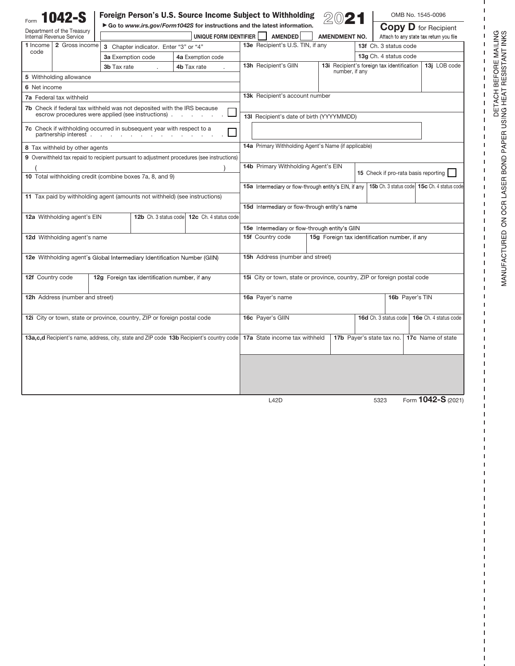| Foreign Person's U.S. Source Income Subject to Withholding<br>1042-S                                                                                    |                                                                                                                           |                   |                                                                    |                      | OMB No. 1545-0096                                          |
|---------------------------------------------------------------------------------------------------------------------------------------------------------|---------------------------------------------------------------------------------------------------------------------------|-------------------|--------------------------------------------------------------------|----------------------|------------------------------------------------------------|
| Department of the Treasury                                                                                                                              | Go to www.irs.gov/Form1042S for instructions and the latest information.                                                  |                   |                                                                    |                      | <b>Copy D</b> for Recipient                                |
| <b>Internal Revenue Service</b><br>1 Income l<br>2 Gross income                                                                                         | UNIQUE FORM IDENTIFIER                                                                                                    |                   | <b>AMENDED</b><br>13e Recipient's U.S. TIN, if any                 | <b>AMENDMENT NO.</b> | Attach to any state tax return you file                    |
| code                                                                                                                                                    | 3 Chapter indicator. Enter "3" or "4"                                                                                     |                   |                                                                    |                      | 13f Ch. 3 status code                                      |
|                                                                                                                                                         | 3a Exemption code                                                                                                         | 4a Exemption code |                                                                    |                      | 13g Ch. 4 status code                                      |
|                                                                                                                                                         | 3b Tax rate                                                                                                               | 4b Tax rate       | 13h Recipient's GIIN                                               | number, if any       | 13j LOB code<br>13i Recipient's foreign tax identification |
| 5 Withholding allowance                                                                                                                                 |                                                                                                                           |                   |                                                                    |                      |                                                            |
| 6 Net income                                                                                                                                            |                                                                                                                           |                   |                                                                    |                      |                                                            |
| 7a Federal tax withheld                                                                                                                                 |                                                                                                                           |                   | <b>13k</b> Recipient's account number                              |                      |                                                            |
| <b>7b</b> Check if federal tax withheld was not deposited with the IRS because<br>escrow procedures were applied (see instructions).<br>and the control |                                                                                                                           |                   | 13I Recipient's date of birth (YYYYMMDD)                           |                      |                                                            |
| 7c Check if withholding occurred in subsequent year with respect to a<br>partnership interest                                                           |                                                                                                                           |                   |                                                                    |                      |                                                            |
| 8 Tax withheld by other agents                                                                                                                          |                                                                                                                           |                   | 14a Primary Withholding Agent's Name (if applicable)               |                      |                                                            |
| 9 Overwithheld tax repaid to recipient pursuant to adjustment procedures (see instructions)                                                             |                                                                                                                           |                   |                                                                    |                      |                                                            |
|                                                                                                                                                         |                                                                                                                           |                   | 14b Primary Withholding Agent's EIN                                |                      |                                                            |
| 10 Total withholding credit (combine boxes 7a, 8, and 9)                                                                                                |                                                                                                                           |                   |                                                                    |                      | 15 Check if pro-rata basis reporting                       |
|                                                                                                                                                         |                                                                                                                           |                   | 15a Intermediary or flow-through entity's EIN, if any              |                      | 15b Ch. 3 status code 15c Ch. 4 status code                |
|                                                                                                                                                         |                                                                                                                           |                   |                                                                    |                      |                                                            |
| 11 Tax paid by withholding agent (amounts not withheld) (see instructions)                                                                              |                                                                                                                           |                   | 15d Intermediary or flow-through entity's name                     |                      |                                                            |
| 12a Withholding agent's EIN<br>12b Ch. 3 status code<br>12c Ch. 4 status code                                                                           |                                                                                                                           |                   |                                                                    |                      |                                                            |
|                                                                                                                                                         |                                                                                                                           |                   |                                                                    |                      |                                                            |
|                                                                                                                                                         |                                                                                                                           |                   | 15e Intermediary or flow-through entity's GIIN<br>15f Country code |                      | 15g Foreign tax identification number, if any              |
| 12d Withholding agent's name                                                                                                                            |                                                                                                                           |                   |                                                                    |                      |                                                            |
|                                                                                                                                                         |                                                                                                                           |                   |                                                                    |                      |                                                            |
| 12e Withholding agent's Global Intermediary Identification Number (GIIN)                                                                                |                                                                                                                           |                   | 15h Address (number and street)                                    |                      |                                                            |
|                                                                                                                                                         |                                                                                                                           |                   |                                                                    |                      |                                                            |
| 12f Country code                                                                                                                                        | 12g Foreign tax identification number, if any<br>15i City or town, state or province, country, ZIP or foreign postal code |                   |                                                                    |                      |                                                            |
|                                                                                                                                                         |                                                                                                                           |                   |                                                                    |                      |                                                            |
| 12h Address (number and street)                                                                                                                         |                                                                                                                           |                   | 16a Payer's name                                                   |                      | 16b Payer's TIN                                            |
|                                                                                                                                                         |                                                                                                                           |                   |                                                                    |                      |                                                            |
| 12i City or town, state or province, country, ZIP or foreign postal code                                                                                |                                                                                                                           |                   | 16c Payer's GIIN                                                   |                      | 16d Ch. 3 status code<br>16e Ch. 4 status code             |
|                                                                                                                                                         |                                                                                                                           |                   |                                                                    |                      |                                                            |
| 13a, c, d Recipient's name, address, city, state and ZIP code 13b Recipient's country code                                                              |                                                                                                                           |                   | 17a State income tax withheld                                      |                      | 17b Payer's state tax no.<br>17c Name of state             |
|                                                                                                                                                         |                                                                                                                           |                   |                                                                    |                      |                                                            |
|                                                                                                                                                         |                                                                                                                           |                   |                                                                    |                      |                                                            |
|                                                                                                                                                         |                                                                                                                           |                   |                                                                    |                      |                                                            |
|                                                                                                                                                         |                                                                                                                           |                   |                                                                    |                      |                                                            |
|                                                                                                                                                         |                                                                                                                           |                   |                                                                    |                      |                                                            |
|                                                                                                                                                         |                                                                                                                           |                   | L42D                                                               |                      | Form 1042-S (2021)<br>5323                                 |

Form 1042-S (2021)

FORE MAILING<br>:SISTANT INKS

J,  $\overline{1}$  $\mathbf I$ 

 $\begin{array}{cccccccccccccc} 1 & 1 & 1 & 1 & 1 & 1 & 1 & 1 & 1 & 1 & 1 \\ \end{array}$ 

 $\bar{\mathbf{I}}$  $\mathsf I$  $\mathbf I$  $\mathbf I$  $\mathbf I$  $\mathbf I$  $\mathbf I$  $\mathbf I$  $\mathbf I$  $\mathbf I$  $\sf I$  $\mathbf I$  $\mathbf I$  $\mathbf I$  $\mathbf I$  $\mathbf I$  $\mathbf I$  $\mathbf I$  $\mathbf I$  $\mathsf I$  $\mathsf I$  $\mathsf I$  $\mathsf I$  $\mathbf{I}$ Ï I ı I I  $\overline{1}$ I ı  $\overline{1}$ I  $\mathbf{I}$  $\mathsf I$  $\mathsf I$  $\mathbf{I}$  $\overline{1}$ I I ı

B 포

DETACH<br>ING HEAT<br>!

**PAPERUS** 

Cl **z [Il** 0 **a: UJ** 

~ **a:**  () 0 **z**  0

URED

 $\mathsf E$  . **MANL** 

 $\mathbf{I}$ **I** ı  $\overline{1}$ I I ı 1 I  $\mathbf{I}$ I. ı  $\overline{1}$ 

I 1 1  $\mathbf{I}$  $\sf I$  $\mathbf I$  $\mathbf I$